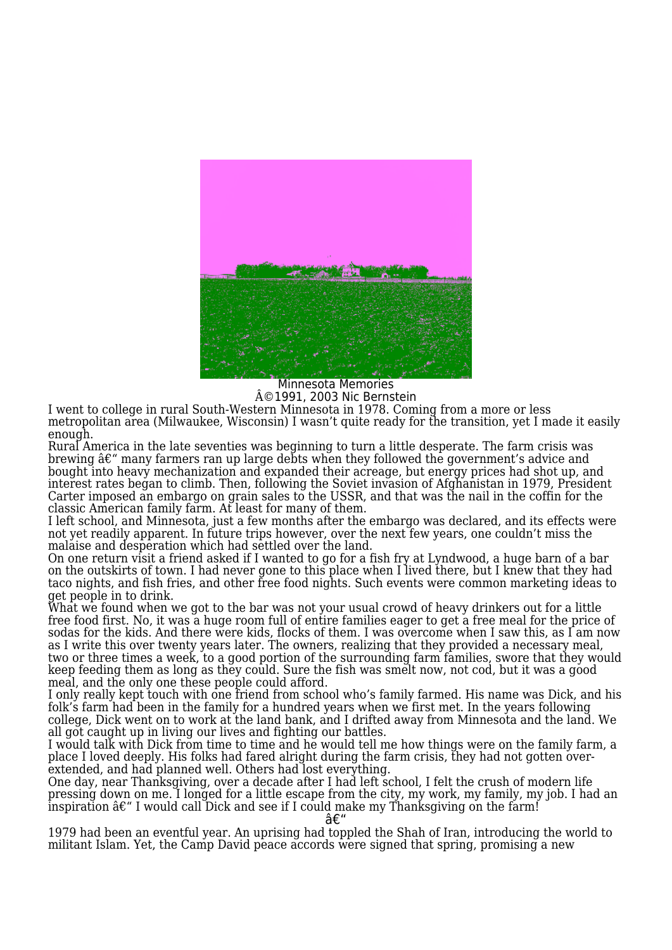

Minnesota Memories  $\rm \hat{A}$ ©1991, 2003 Nic Bernstein

I went to college in rural South-Western Minnesota in 1978. Coming from a more or less metropolitan area (Milwaukee, Wisconsin) I wasn't quite ready for the transition, yet I made it easily enough.

Rural America in the late seventies was beginning to turn a little desperate. The farm crisis was brewing  $\hat{a}\varepsilon$ " many farmers ran up large debts when they followed the government's advice and bought into heavy mechanization and expanded their acreage, but energy prices had shot up, and interest rates began to climb. Then, following the Soviet invasion of Afghanistan in 1979, President Carter imposed an embargo on grain sales to the USSR, and that was the nail in the coffin for the classic American family farm. At least for many of them.

I left school, and Minnesota, just a few months after the embargo was declared, and its effects were not yet readily apparent. In future trips however, over the next few years, one couldn't miss the malaise and desperation which had settled over the land.

On one return visit a friend asked if I wanted to go for a fish fry at Lyndwood, a huge barn of a bar on the outskirts of town. I had never gone to this place when I lived there, but I knew that they had taco nights, and fish fries, and other free food nights. Such events were common marketing ideas to get people in to drink.

What we found when we got to the bar was not your usual crowd of heavy drinkers out for a little free food first. No, it was a huge room full of entire families eager to get a free meal for the price of sodas for the kids. And there were kids, flocks of them. I was overcome when I saw this, as I am now as I write this over twenty years later. The owners, realizing that they provided a necessary meal, two or three times a week, to a good portion of the surrounding farm families, swore that they would keep feeding them as long as they could. Sure the fish was smelt now, not cod, but it was a good meal, and the only one these people could afford.

I only really kept touch with one friend from school who's family farmed. His name was Dick, and his folk's farm had been in the family for a hundred years when we first met. In the years following college, Dick went on to work at the land bank, and I drifted away from Minnesota and the land. We all got caught up in living our lives and fighting our battles.

I would talk with Dick from time to time and he would tell me how things were on the family farm, a place I loved deeply. His folks had fared alright during the farm crisis, they had not gotten overextended, and had planned well. Others had lost everything.

One day, near Thanksgiving, over a decade after I had left school, I felt the crush of modern life pressing down on me. I longed for a little escape from the city, my work, my family, my job. I had an inspiration  $\hat{a}\epsilon$ " I would call Dick and see if I could make my Thanksgiving on the farm!

–

1979 had been an eventful year. An uprising had toppled the Shah of Iran, introducing the world to militant Islam. Yet, the Camp David peace accords were signed that spring, promising a new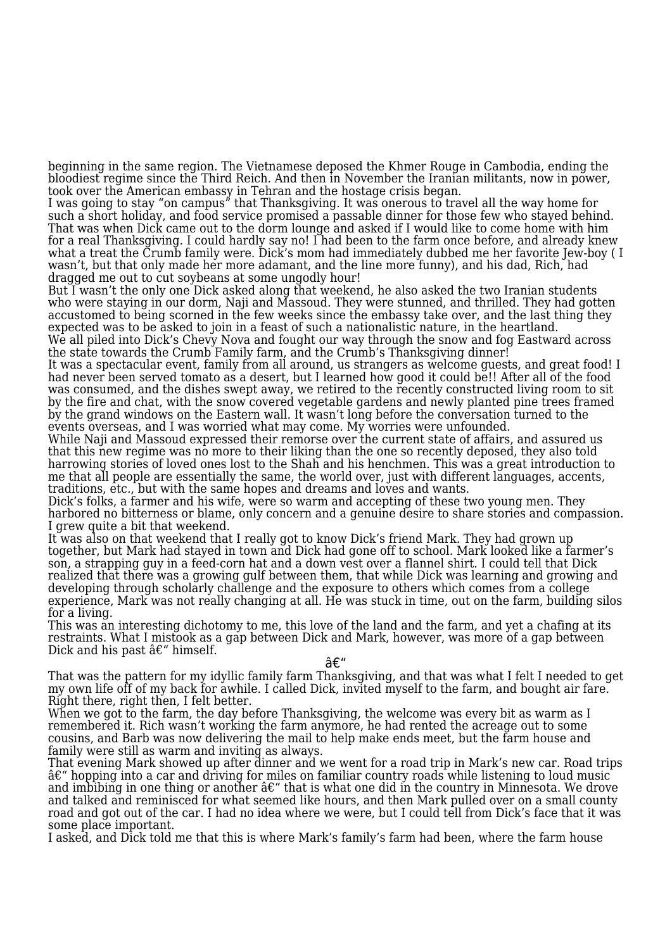beginning in the same region. The Vietnamese deposed the Khmer Rouge in Cambodia, ending the bloodiest regime since the Third Reich. And then in November the Iranian militants, now in power, took over the American embassy in Tehran and the hostage crisis began.

I was going to stay "on campus" that Thanksgiving. It was onerous to travel all the way home for such a short holiday, and food service promised a passable dinner for those few who stayed behind. That was when Dick came out to the dorm lounge and asked if I would like to come home with him for a real Thanksgiving. I could hardly say no! I had been to the farm once before, and already knew what a treat the Crumb family were. Dick's mom had immediately dubbed me her favorite Jew-boy (I wasn't, but that only made her more adamant, and the line more funny), and his dad, Rich, had dragged me out to cut soybeans at some ungodly hour!

But I wasn't the only one Dick asked along that weekend, he also asked the two Iranian students who were staying in our dorm, Naji and Massoud. They were stunned, and thrilled. They had gotten accustomed to being scorned in the few weeks since the embassy take over, and the last thing they expected was to be asked to join in a feast of such a nationalistic nature, in the heartland. We all piled into Dick's Chevy Nova and fought our way through the snow and fog Eastward across

the state towards the Crumb Family farm, and the Crumb's Thanksgiving dinner! It was a spectacular event, family from all around, us strangers as welcome guests, and great food! I had never been served tomato as a desert, but I learned how good it could be!! After all of the food was consumed, and the dishes swept away, we retired to the recently constructed living room to sit by the fire and chat, with the snow covered vegetable gardens and newly planted pine trees framed

by the grand windows on the Eastern wall. It wasn't long before the conversation turned to the events overseas, and I was worried what may come. My worries were unfounded. While Naji and Massoud expressed their remorse over the current state of affairs, and assured us

that this new regime was no more to their liking than the one so recently deposed, they also told harrowing stories of loved ones lost to the Shah and his henchmen. This was a great introduction to me that all people are essentially the same, the world over, just with different languages, accents, traditions, etc., but with the same hopes and dreams and loves and wants.

Dick's folks, a farmer and his wife, were so warm and accepting of these two young men. They harbored no bitterness or blame, only concern and a genuine desire to share stories and compassion. I grew quite a bit that weekend.

It was also on that weekend that I really got to know Dick's friend Mark. They had grown up together, but Mark had stayed in town and Dick had gone off to school. Mark looked like a farmer's son, a strapping guy in a feed-corn hat and a down vest over a flannel shirt. I could tell that Dick realized that there was a growing gulf between them, that while Dick was learning and growing and developing through scholarly challenge and the exposure to others which comes from a college experience, Mark was not really changing at all. He was stuck in time, out on the farm, building silos for a living.

This was an interesting dichotomy to me, this love of the land and the farm, and yet a chafing at its restraints. What I mistook as a gap between Dick and Mark, however, was more of a gap between Dick and his past  $\hat{a}\varepsilon$ " himself.

## –

That was the pattern for my idyllic family farm Thanksgiving, and that was what I felt I needed to get my own life off of my back for awhile. I called Dick, invited myself to the farm, and bought air fare. Right there, right then, I felt better.

When we got to the farm, the day before Thanksgiving, the welcome was every bit as warm as I remembered it. Rich wasn't working the farm anymore, he had rented the acreage out to some cousins, and Barb was now delivering the mail to help make ends meet, but the farm house and family were still as warm and inviting as always.

That evening Mark showed up after dinner and we went for a road trip in Mark's new car. Road trips  $\hat{a}\hat{\epsilon}^{\prime\prime}$  hopping into a car and driving for miles on familiar country roads while listening to loud music and imbibing in one thing or another  $\hat{a}\epsilon^{\prime\prime}$  that is what one did in the country in Minnesota. We drove and talked and reminisced for what seemed like hours, and then Mark pulled over on a small county road and got out of the car. I had no idea where we were, but I could tell from Dick's face that it was some place important.

I asked, and Dick told me that this is where Mark's family's farm had been, where the farm house